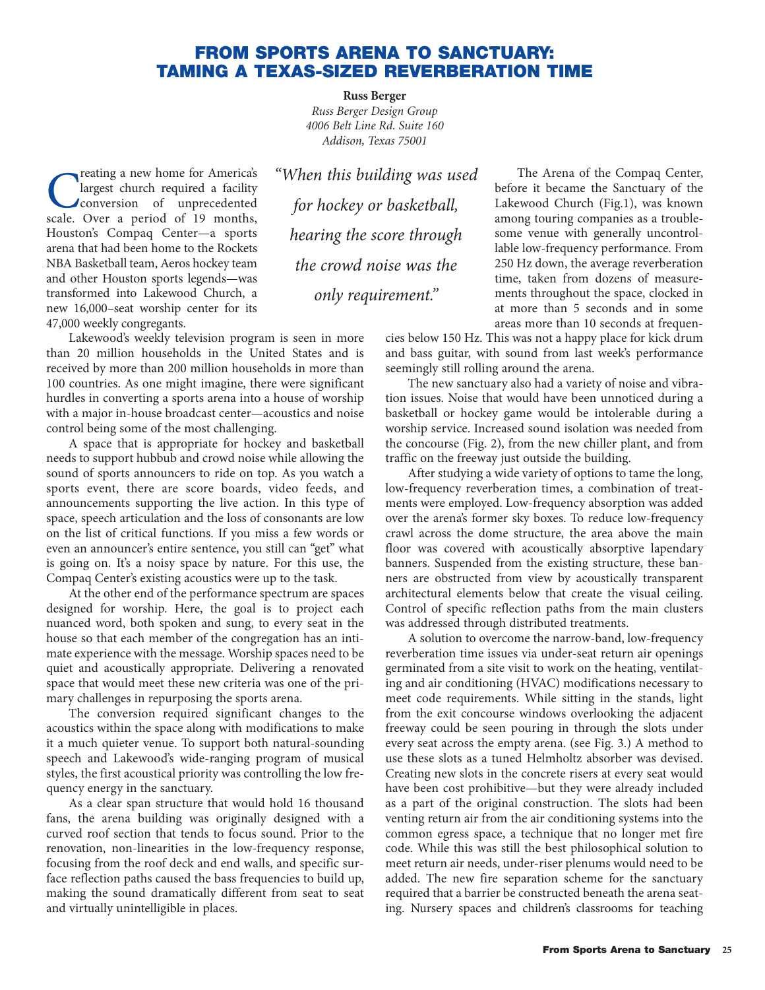## **FROM SPORTS ARENA TO SANCTUARY: TAMING A TEXAS-SIZED REVERBERATION TIME**

**Russ Berger** *Russ Berger Design Group 4006 Belt Line Rd. Suite 160 Addison, Texas 75001*

**C**<br>
largest church required a facility<br>
conversion of unprecedented<br>
scale Over a period of 19 months largest church required a facility conversion of unprecedented scale. Over a period of 19 months, Houston's Compaq Center—a sports arena that had been home to the Rockets NBA Basketball team, Aeros hockey team and other Houston sports legends—was transformed into Lakewood Church, a new 16,000–seat worship center for its 47,000 weekly congregants.

*"When this building was used for hockey or basketball, hearing the score through the crowd noise was the only requirement."*

Lakewood's weekly television program is seen in more than 20 million households in the United States and is received by more than 200 million households in more than 100 countries. As one might imagine, there were significant hurdles in converting a sports arena into a house of worship with a major in-house broadcast center—acoustics and noise control being some of the most challenging.

A space that is appropriate for hockey and basketball needs to support hubbub and crowd noise while allowing the sound of sports announcers to ride on top. As you watch a sports event, there are score boards, video feeds, and announcements supporting the live action. In this type of space, speech articulation and the loss of consonants are low on the list of critical functions. If you miss a few words or even an announcer's entire sentence, you still can "get" what is going on. It's a noisy space by nature. For this use, the Compaq Center's existing acoustics were up to the task.

At the other end of the performance spectrum are spaces designed for worship. Here, the goal is to project each nuanced word, both spoken and sung, to every seat in the house so that each member of the congregation has an intimate experience with the message. Worship spaces need to be quiet and acoustically appropriate. Delivering a renovated space that would meet these new criteria was one of the primary challenges in repurposing the sports arena.

The conversion required significant changes to the acoustics within the space along with modifications to make it a much quieter venue. To support both natural-sounding speech and Lakewood's wide-ranging program of musical styles, the first acoustical priority was controlling the low frequency energy in the sanctuary.

As a clear span structure that would hold 16 thousand fans, the arena building was originally designed with a curved roof section that tends to focus sound. Prior to the renovation, non-linearities in the low-frequency response, focusing from the roof deck and end walls, and specific surface reflection paths caused the bass frequencies to build up, making the sound dramatically different from seat to seat and virtually unintelligible in places.

The Arena of the Compaq Center, before it became the Sanctuary of the Lakewood Church (Fig.1), was known among touring companies as a troublesome venue with generally uncontrollable low-frequency performance. From 250 Hz down, the average reverberation time, taken from dozens of measurements throughout the space, clocked in at more than 5 seconds and in some areas more than 10 seconds at frequen-

cies below 150 Hz. This was not a happy place for kick drum and bass guitar, with sound from last week's performance seemingly still rolling around the arena.

The new sanctuary also had a variety of noise and vibration issues. Noise that would have been unnoticed during a basketball or hockey game would be intolerable during a worship service. Increased sound isolation was needed from the concourse (Fig. 2), from the new chiller plant, and from traffic on the freeway just outside the building.

After studying a wide variety of options to tame the long, low-frequency reverberation times, a combination of treatments were employed. Low-frequency absorption was added over the arena's former sky boxes. To reduce low-frequency crawl across the dome structure, the area above the main floor was covered with acoustically absorptive lapendary banners. Suspended from the existing structure, these banners are obstructed from view by acoustically transparent architectural elements below that create the visual ceiling. Control of specific reflection paths from the main clusters was addressed through distributed treatments.

A solution to overcome the narrow-band, low-frequency reverberation time issues via under-seat return air openings germinated from a site visit to work on the heating, ventilating and air conditioning (HVAC) modifications necessary to meet code requirements. While sitting in the stands, light from the exit concourse windows overlooking the adjacent freeway could be seen pouring in through the slots under every seat across the empty arena. (see Fig. 3.) A method to use these slots as a tuned Helmholtz absorber was devised. Creating new slots in the concrete risers at every seat would have been cost prohibitive—but they were already included as a part of the original construction. The slots had been venting return air from the air conditioning systems into the common egress space, a technique that no longer met fire code. While this was still the best philosophical solution to meet return air needs, under-riser plenums would need to be added. The new fire separation scheme for the sanctuary required that a barrier be constructed beneath the arena seating. Nursery spaces and children's classrooms for teaching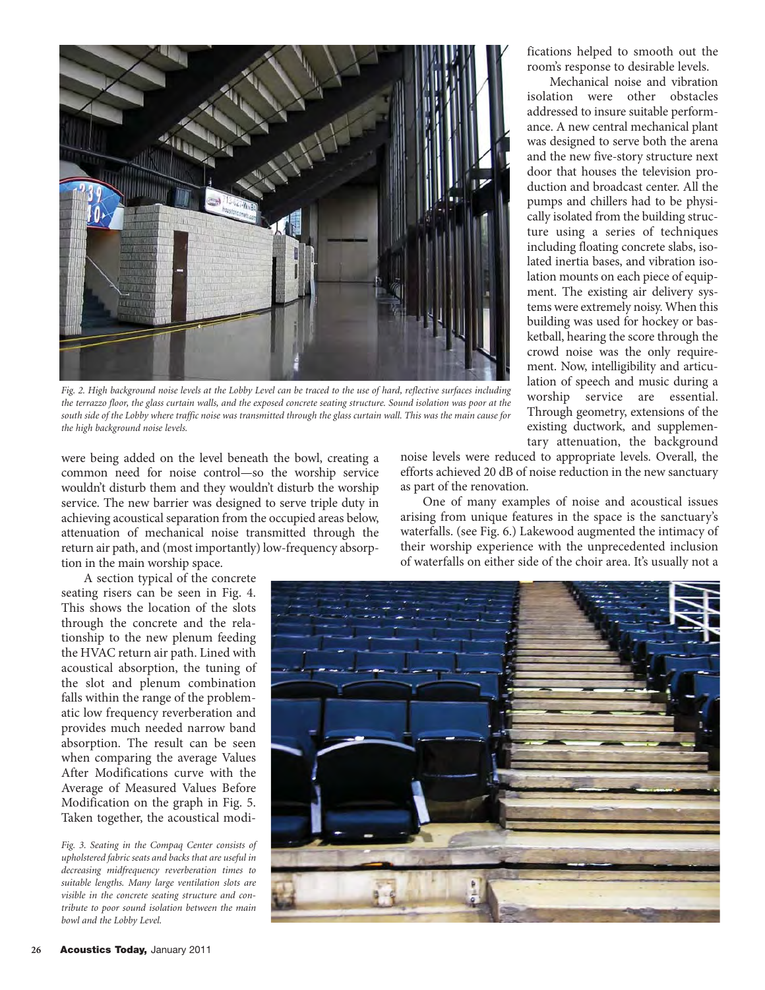

*Fig. 2. High background noise levels at the Lobby Level can be traced to the use of hard, reflective surfaces including the terrazzo floor, the glass curtain walls, and the exposed concrete seating structure. Sound isolation was poor at the south side of the Lobby where traffic noise was transmitted through the glass curtain wall. This was the main cause for the high background noise levels.*

were being added on the level beneath the bowl, creating a common need for noise control—so the worship service wouldn't disturb them and they wouldn't disturb the worship service. The new barrier was designed to serve triple duty in achieving acoustical separation from the occupied areas below, attenuation of mechanical noise transmitted through the return air path, and (most importantly) low-frequency absorption in the main worship space.

A section typical of the concrete seating risers can be seen in Fig. 4. This shows the location of the slots through the concrete and the relationship to the new plenum feeding the HVAC return air path. Lined with acoustical absorption, the tuning of the slot and plenum combination falls within the range of the problematic low frequency reverberation and provides much needed narrow band absorption. The result can be seen when comparing the average Values After Modifications curve with the Average of Measured Values Before Modification on the graph in Fig. 5. Taken together, the acoustical modi-

*Fig. 3. Seating in the Compaq Center consists of upholstered fabric seats and backs that are useful in decreasing midfrequency reverberation times to suitable lengths. Many large ventilation slots are visible in the concrete seating structure and contribute to poor sound isolation between the main bowl and the Lobby Level.*

noise levels were reduced to appropriate levels. Overall, the efforts achieved 20 dB of noise reduction in the new sanctuary as part of the renovation.

One of many examples of noise and acoustical issues arising from unique features in the space is the sanctuary's waterfalls. (see Fig. 6.) Lakewood augmented the intimacy of their worship experience with the unprecedented inclusion of waterfalls on either side of the choir area. It's usually not a



fications helped to smooth out the room's response to desirable levels.

Mechanical noise and vibration isolation were other obstacles addressed to insure suitable performance. A new central mechanical plant was designed to serve both the arena and the new five-story structure next door that houses the television production and broadcast center. All the pumps and chillers had to be physically isolated from the building structure using a series of techniques including floating concrete slabs, isolated inertia bases, and vibration isolation mounts on each piece of equipment. The existing air delivery systems were extremely noisy. When this building was used for hockey or basketball, hearing the score through the crowd noise was the only requirement. Now, intelligibility and articulation of speech and music during a worship service are essential. Through geometry, extensions of the existing ductwork, and supplementary attenuation, the background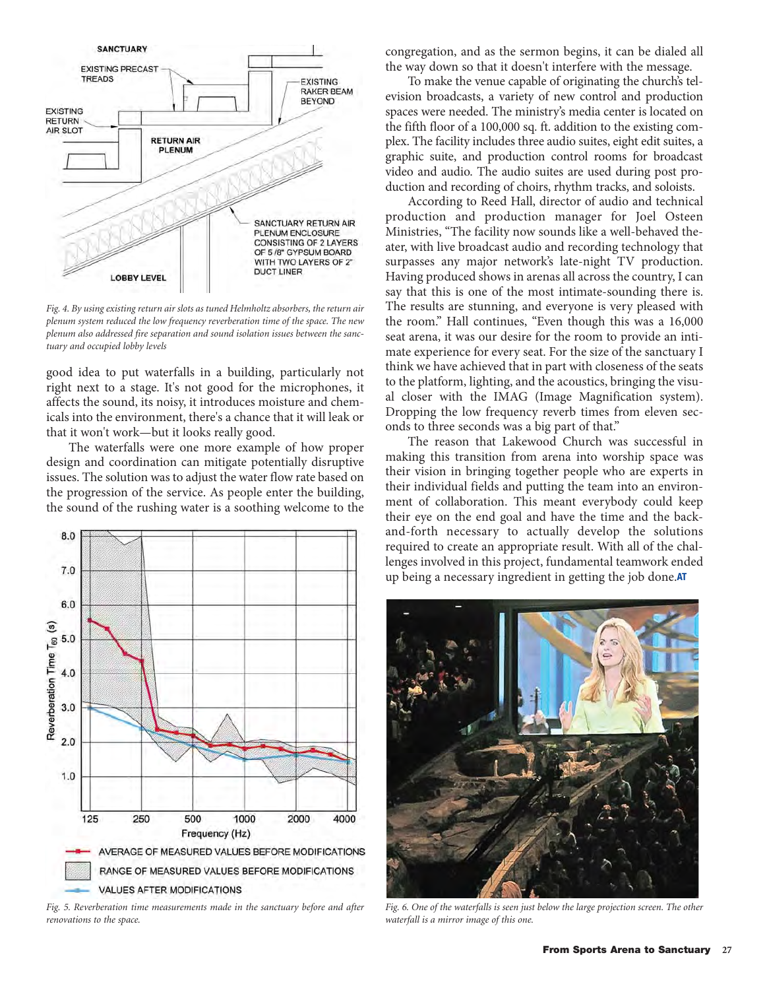

*Fig. 4. By using existing return air slots as tuned Helmholtz absorbers, the return air plenum system reduced the low frequency reverberation time of the space. The new plenum also addressed fire separation and sound isolation issues between the sanctuary and occupied lobby levels*

good idea to put waterfalls in a building, particularly not right next to a stage. It's not good for the microphones, it affects the sound, its noisy, it introduces moisture and chemicals into the environment, there's a chance that it will leak or that it won't work—but it looks really good.

The waterfalls were one more example of how proper design and coordination can mitigate potentially disruptive issues. The solution was to adjust the water flow rate based on the progression of the service. As people enter the building, the sound of the rushing water is a soothing welcome to the



*Fig. 5. Reverberation time measurements made in the sanctuary before and after renovations to the space.* 

congregation, and as the sermon begins, it can be dialed all the way down so that it doesn't interfere with the message.

To make the venue capable of originating the church's television broadcasts, a variety of new control and production spaces were needed. The ministry's media center is located on the fifth floor of a 100,000 sq. ft. addition to the existing complex. The facility includes three audio suites, eight edit suites, a graphic suite, and production control rooms for broadcast video and audio. The audio suites are used during post production and recording of choirs, rhythm tracks, and soloists.

According to Reed Hall, director of audio and technical production and production manager for Joel Osteen Ministries, "The facility now sounds like a well-behaved theater, with live broadcast audio and recording technology that surpasses any major network's late-night TV production. Having produced shows in arenas all across the country, I can say that this is one of the most intimate-sounding there is. The results are stunning, and everyone is very pleased with the room." Hall continues, "Even though this was a 16,000 seat arena, it was our desire for the room to provide an intimate experience for every seat. For the size of the sanctuary I think we have achieved that in part with closeness of the seats to the platform, lighting, and the acoustics, bringing the visual closer with the IMAG (Image Magnification system). Dropping the low frequency reverb times from eleven seconds to three seconds was a big part of that."

The reason that Lakewood Church was successful in making this transition from arena into worship space was their vision in bringing together people who are experts in their individual fields and putting the team into an environment of collaboration. This meant everybody could keep their eye on the end goal and have the time and the backand-forth necessary to actually develop the solutions required to create an appropriate result. With all of the challenges involved in this project, fundamental teamwork ended up being a necessary ingredient in getting the job done.**AT**



*Fig. 6. One of the waterfalls is seen just below the large projection screen. The other waterfall is a mirror image of this one.*